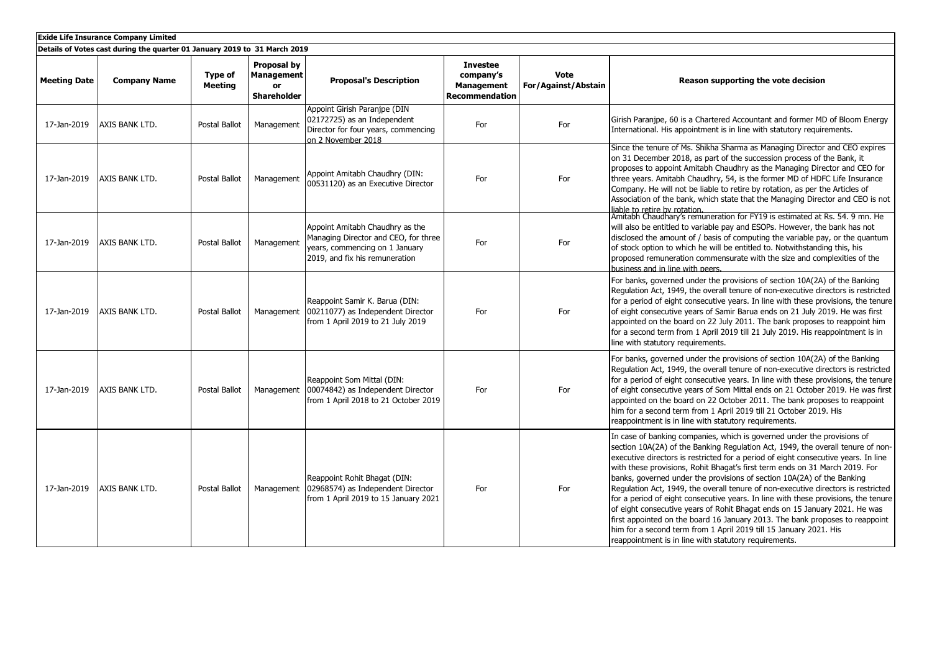| <b>Exide Life Insurance Company Limited</b> |                                                                           |                           |                                                              |                                                                                                                                             |                                                                            |                                    |                                                                                                                                                                                                                                                                                                                                                                                                                                                                                                                                                                                                                                                                                                                                                                                                                                                                                  |  |
|---------------------------------------------|---------------------------------------------------------------------------|---------------------------|--------------------------------------------------------------|---------------------------------------------------------------------------------------------------------------------------------------------|----------------------------------------------------------------------------|------------------------------------|----------------------------------------------------------------------------------------------------------------------------------------------------------------------------------------------------------------------------------------------------------------------------------------------------------------------------------------------------------------------------------------------------------------------------------------------------------------------------------------------------------------------------------------------------------------------------------------------------------------------------------------------------------------------------------------------------------------------------------------------------------------------------------------------------------------------------------------------------------------------------------|--|
|                                             | Details of Votes cast during the quarter 01 January 2019 to 31 March 2019 |                           |                                                              |                                                                                                                                             |                                                                            |                                    |                                                                                                                                                                                                                                                                                                                                                                                                                                                                                                                                                                                                                                                                                                                                                                                                                                                                                  |  |
| <b>Meeting Date</b>                         | <b>Company Name</b>                                                       | Type of<br><b>Meeting</b> | Proposal by<br><b>Management</b><br>or<br><b>Shareholder</b> | <b>Proposal's Description</b>                                                                                                               | <b>Investee</b><br>company's<br><b>Management</b><br><b>Recommendation</b> | <b>Vote</b><br>For/Against/Abstain | Reason supporting the vote decision                                                                                                                                                                                                                                                                                                                                                                                                                                                                                                                                                                                                                                                                                                                                                                                                                                              |  |
| 17-Jan-2019                                 | AXIS BANK LTD.                                                            | Postal Ballot             | Management                                                   | Appoint Girish Paranipe (DIN<br>02172725) as an Independent<br>Director for four years, commencing<br>on 2 November 2018                    | For                                                                        | For                                | Girish Paranipe, 60 is a Chartered Accountant and former MD of Bloom Energy<br>International. His appointment is in line with statutory requirements.                                                                                                                                                                                                                                                                                                                                                                                                                                                                                                                                                                                                                                                                                                                            |  |
| 17-Jan-2019                                 | AXIS BANK LTD.                                                            | Postal Ballot             | Management                                                   | Appoint Amitabh Chaudhry (DIN:<br>00531120) as an Executive Director                                                                        | For                                                                        | For                                | Since the tenure of Ms. Shikha Sharma as Managing Director and CEO expires<br>on 31 December 2018, as part of the succession process of the Bank, it<br>proposes to appoint Amitabh Chaudhry as the Managing Director and CEO for<br>three years. Amitabh Chaudhry, 54, is the former MD of HDFC Life Insurance<br>Company. He will not be liable to retire by rotation, as per the Articles of<br>Association of the bank, which state that the Managing Director and CEO is not                                                                                                                                                                                                                                                                                                                                                                                                |  |
| 17-Jan-2019                                 | AXIS BANK LTD.                                                            | Postal Ballot             | Management                                                   | Appoint Amitabh Chaudhry as the<br>Managing Director and CEO, for three<br>years, commencing on 1 January<br>2019, and fix his remuneration | For                                                                        | For                                | liable to retire by rotation.<br>Amitabh Chaudhary's remuneration for FY19 is estimated at Rs. 54, 9 mn. He<br>will also be entitled to variable pay and ESOPs. However, the bank has not<br>disclosed the amount of / basis of computing the variable pay, or the quantum<br>of stock option to which he will be entitled to. Notwithstanding this, his<br>proposed remuneration commensurate with the size and complexities of the<br>business and in line with peers.                                                                                                                                                                                                                                                                                                                                                                                                         |  |
| 17-Jan-2019                                 | AXIS BANK LTD.                                                            | Postal Ballot             | Management                                                   | Reappoint Samir K. Barua (DIN:<br>00211077) as Independent Director<br>from 1 April 2019 to 21 July 2019                                    | For                                                                        | For                                | For banks, governed under the provisions of section 10A(2A) of the Banking<br>Regulation Act, 1949, the overall tenure of non-executive directors is restricted<br>for a period of eight consecutive years. In line with these provisions, the tenure<br>of eight consecutive years of Samir Barua ends on 21 July 2019. He was first<br>appointed on the board on 22 July 2011. The bank proposes to reappoint him<br>for a second term from 1 April 2019 till 21 July 2019. His reappointment is in<br>line with statutory requirements.                                                                                                                                                                                                                                                                                                                                       |  |
| 17-Jan-2019                                 | AXIS BANK LTD.                                                            | Postal Ballot             | Management                                                   | Reappoint Som Mittal (DIN:<br>00074842) as Independent Director<br>from 1 April 2018 to 21 October 2019                                     | For                                                                        | For                                | For banks, governed under the provisions of section 10A(2A) of the Banking<br>Requlation Act, 1949, the overall tenure of non-executive directors is restricted<br>for a period of eight consecutive years. In line with these provisions, the tenure<br>of eight consecutive years of Som Mittal ends on 21 October 2019. He was first<br>appointed on the board on 22 October 2011. The bank proposes to reappoint<br>him for a second term from 1 April 2019 till 21 October 2019. His<br>reappointment is in line with statutory requirements.                                                                                                                                                                                                                                                                                                                               |  |
| 17-Jan-2019                                 | AXIS BANK LTD.                                                            | Postal Ballot             | Management                                                   | Reappoint Rohit Bhagat (DIN:<br>02968574) as Independent Director<br>from 1 April 2019 to 15 January 2021                                   | For                                                                        | For                                | In case of banking companies, which is governed under the provisions of<br>section 10A(2A) of the Banking Regulation Act, 1949, the overall tenure of non-<br>executive directors is restricted for a period of eight consecutive years. In line<br>with these provisions, Rohit Bhagat's first term ends on 31 March 2019. For<br>banks, governed under the provisions of section 10A(2A) of the Banking<br>Regulation Act, 1949, the overall tenure of non-executive directors is restricted<br>for a period of eight consecutive years. In line with these provisions, the tenure<br>of eight consecutive years of Rohit Bhagat ends on 15 January 2021. He was<br>first appointed on the board 16 January 2013. The bank proposes to reappoint<br>him for a second term from 1 April 2019 till 15 January 2021. His<br>reappointment is in line with statutory requirements. |  |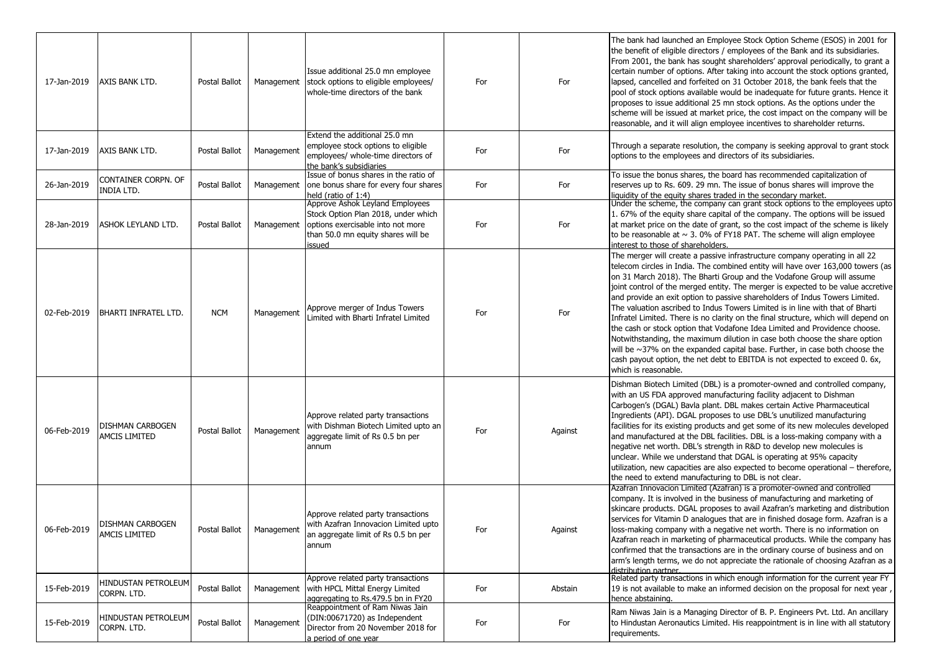| 17-Jan-2019 | AXIS BANK LTD.                           | Postal Ballot | Management | Issue additional 25.0 mn employee<br>stock options to eligible employees/<br>whole-time directors of the bank                                               | For | For     | The bank had launched an Employee Stock Option Scheme (ESOS) in 2001 for<br>the benefit of eligible directors / employees of the Bank and its subsidiaries.<br>From 2001, the bank has sought shareholders' approval periodically, to grant a<br>certain number of options. After taking into account the stock options granted,<br>lapsed, cancelled and forfeited on 31 October 2018, the bank feels that the<br>pool of stock options available would be inadequate for future grants. Hence it<br>proposes to issue additional 25 mn stock options. As the options under the<br>scheme will be issued at market price, the cost impact on the company will be<br>reasonable, and it will align employee incentives to shareholder returns.                                                                                                                                                                                             |
|-------------|------------------------------------------|---------------|------------|-------------------------------------------------------------------------------------------------------------------------------------------------------------|-----|---------|--------------------------------------------------------------------------------------------------------------------------------------------------------------------------------------------------------------------------------------------------------------------------------------------------------------------------------------------------------------------------------------------------------------------------------------------------------------------------------------------------------------------------------------------------------------------------------------------------------------------------------------------------------------------------------------------------------------------------------------------------------------------------------------------------------------------------------------------------------------------------------------------------------------------------------------------|
| 17-Jan-2019 | AXIS BANK LTD.                           | Postal Ballot | Management | Extend the additional 25.0 mn<br>employee stock options to eligible<br>employees/ whole-time directors of<br>the bank's subsidiaries                        | For | For     | Through a separate resolution, the company is seeking approval to grant stock<br>options to the employees and directors of its subsidiaries.                                                                                                                                                                                                                                                                                                                                                                                                                                                                                                                                                                                                                                                                                                                                                                                               |
| 26-Jan-2019 | CONTAINER CORPN. OF<br>INDIA LTD.        | Postal Ballot | Management | Issue of bonus shares in the ratio of<br>one bonus share for every four shares<br>held (ratio of 1:4)                                                       | For | For     | To issue the bonus shares, the board has recommended capitalization of<br>reserves up to Rs. 609. 29 mn. The issue of bonus shares will improve the<br>liquidity of the equity shares traded in the secondary market.                                                                                                                                                                                                                                                                                                                                                                                                                                                                                                                                                                                                                                                                                                                      |
| 28-Jan-2019 | ASHOK LEYLAND LTD.                       | Postal Ballot | Management | Approve Ashok Leyland Employees<br>Stock Option Plan 2018, under which<br>options exercisable into not more<br>than 50.0 mn equity shares will be<br>issued | For | For     | Under the scheme, the company can grant stock options to the employees upto<br>1.67% of the equity share capital of the company. The options will be issued<br>at market price on the date of grant, so the cost impact of the scheme is likely<br>to be reasonable at $\sim$ 3. 0% of FY18 PAT. The scheme will align employee<br>interest to those of shareholders.                                                                                                                                                                                                                                                                                                                                                                                                                                                                                                                                                                      |
| 02-Feb-2019 | BHARTI INFRATEL LTD.                     | <b>NCM</b>    | Management | Approve merger of Indus Towers<br>Limited with Bharti Infratel Limited                                                                                      | For | For     | The merger will create a passive infrastructure company operating in all 22<br>telecom circles in India. The combined entity will have over 163,000 towers (as<br>on 31 March 2018). The Bharti Group and the Vodafone Group will assume<br>joint control of the merged entity. The merger is expected to be value accretive<br>and provide an exit option to passive shareholders of Indus Towers Limited.<br>The valuation ascribed to Indus Towers Limited is in line with that of Bharti<br>Infratel Limited. There is no clarity on the final structure, which will depend on<br>the cash or stock option that Vodafone Idea Limited and Providence choose.<br>Notwithstanding, the maximum dilution in case both choose the share option<br>will be $\sim$ 37% on the expanded capital base. Further, in case both choose the<br>cash payout option, the net debt to EBITDA is not expected to exceed 0. 6x,<br>which is reasonable. |
| 06-Feb-2019 | DISHMAN CARBOGEN<br>AMCIS LIMITED        | Postal Ballot | Management | Approve related party transactions<br>with Dishman Biotech Limited upto an<br>aggregate limit of Rs 0.5 bn per<br>annum                                     | For | Against | Dishman Biotech Limited (DBL) is a promoter-owned and controlled company,<br>with an US FDA approved manufacturing facility adjacent to Dishman<br>Carbogen's (DGAL) Bavla plant. DBL makes certain Active Pharmaceutical<br>Ingredients (API). DGAL proposes to use DBL's unutilized manufacturing<br>facilities for its existing products and get some of its new molecules developed<br>and manufactured at the DBL facilities. DBL is a loss-making company with a<br>negative net worth. DBL's strength in R&D to develop new molecules is<br>unclear. While we understand that DGAL is operating at 95% capacity<br>utilization, new capacities are also expected to become operational - therefore,<br>the need to extend manufacturing to DBL is not clear.                                                                                                                                                                        |
| 06-Feb-2019 | <b>DISHMAN CARBOGEN</b><br>AMCIS LIMITED | Postal Ballot | Management | Approve related party transactions<br>with Azafran Innovacion Limited upto<br>an aggregate limit of Rs 0.5 bn per<br>annum                                  | For | Against | Azafran Innovacion Limited (Azafran) is a promoter-owned and controlled<br>company. It is involved in the business of manufacturing and marketing of<br>skincare products. DGAL proposes to avail Azafran's marketing and distribution<br>services for Vitamin D analogues that are in finished dosage form. Azafran is a<br>loss-making company with a negative net worth. There is no information on<br>Azafran reach in marketing of pharmaceutical products. While the company has<br>confirmed that the transactions are in the ordinary course of business and on<br>arm's length terms, we do not appreciate the rationale of choosing Azafran as a<br>distribution partner.                                                                                                                                                                                                                                                        |
| 15-Feb-2019 | HINDUSTAN PETROLEUM<br>CORPN. LTD.       | Postal Ballot | Management | Approve related party transactions<br>with HPCL Mittal Energy Limited<br>aggregating to Rs.479.5 bn in FY20                                                 | For | Abstain | Related party transactions in which enough information for the current year FY<br>19 is not available to make an informed decision on the proposal for next year,<br>hence abstaining.                                                                                                                                                                                                                                                                                                                                                                                                                                                                                                                                                                                                                                                                                                                                                     |
| 15-Feb-2019 | HINDUSTAN PETROLEUM<br>CORPN. LTD.       | Postal Ballot | Management | Reappointment of Ram Niwas Jain<br>(DIN:00671720) as Independent<br>Director from 20 November 2018 for<br>a period of one year                              | For | For     | Ram Niwas Jain is a Managing Director of B. P. Engineers Pyt. Ltd. An ancillary<br>to Hindustan Aeronautics Limited. His reappointment is in line with all statutory<br>requirements.                                                                                                                                                                                                                                                                                                                                                                                                                                                                                                                                                                                                                                                                                                                                                      |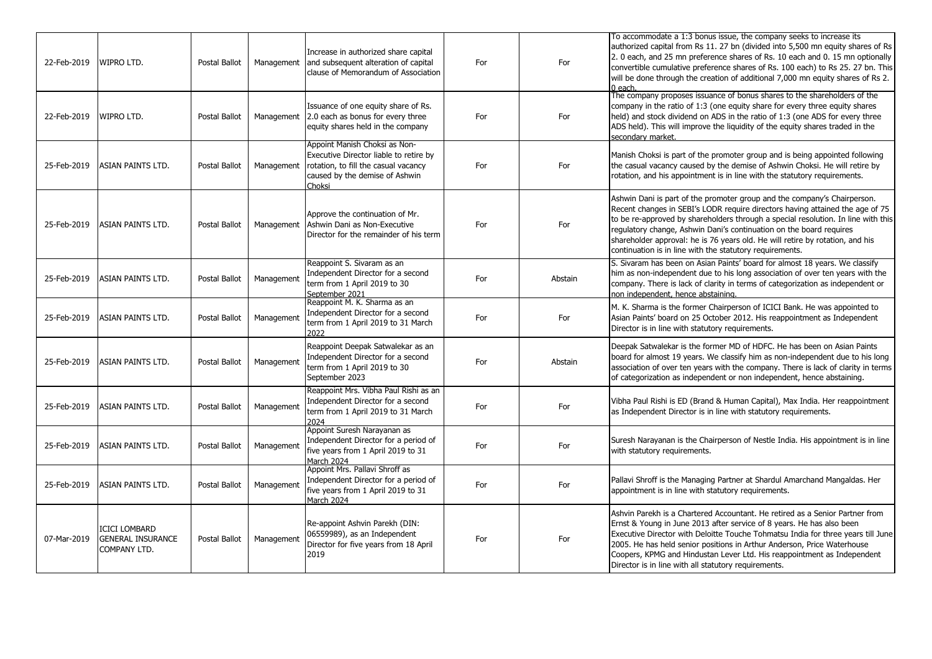| 22-Feb-2019 | <b>WIPRO LTD.</b>                                                | Postal Ballot        | Management | Increase in authorized share capital<br>and subsequent alteration of capital<br>clause of Memorandum of Association                                         | For | For     | To accommodate a 1:3 bonus issue, the company seeks to increase its<br>authorized capital from Rs 11. 27 bn (divided into 5,500 mn equity shares of Rs<br>2. 0 each, and 25 mn preference shares of Rs. 10 each and 0. 15 mn optionally<br>convertible cumulative preference shares of Rs. 100 each) to Rs 25. 27 bn. This<br>will be done through the creation of additional 7,000 mn equity shares of Rs 2.<br>$0$ each                                          |
|-------------|------------------------------------------------------------------|----------------------|------------|-------------------------------------------------------------------------------------------------------------------------------------------------------------|-----|---------|--------------------------------------------------------------------------------------------------------------------------------------------------------------------------------------------------------------------------------------------------------------------------------------------------------------------------------------------------------------------------------------------------------------------------------------------------------------------|
| 22-Feb-2019 | <b>WIPRO LTD.</b>                                                | Postal Ballot        |            | Issuance of one equity share of Rs.<br>Management 2.0 each as bonus for every three<br>equity shares held in the company                                    | For | For     | The company proposes issuance of bonus shares to the shareholders of the<br>company in the ratio of 1:3 (one equity share for every three equity shares<br>held) and stock dividend on ADS in the ratio of 1:3 (one ADS for every three<br>ADS held). This will improve the liquidity of the equity shares traded in the<br>secondary market.                                                                                                                      |
| 25-Feb-2019 | <b>ASIAN PAINTS LTD.</b>                                         | <b>Postal Ballot</b> | Management | Appoint Manish Choksi as Non-<br>Executive Director liable to retire by<br>rotation, to fill the casual vacancy<br>caused by the demise of Ashwin<br>Choksi | For | For     | Manish Choksi is part of the promoter group and is being appointed following<br>the casual vacancy caused by the demise of Ashwin Choksi. He will retire by<br>rotation, and his appointment is in line with the statutory requirements.                                                                                                                                                                                                                           |
| 25-Feb-2019 | <b>ASIAN PAINTS LTD.</b>                                         | <b>Postal Ballot</b> | Management | Approve the continuation of Mr.<br>Ashwin Dani as Non-Executive<br>Director for the remainder of his term                                                   | For | For     | Ashwin Dani is part of the promoter group and the company's Chairperson.<br>Recent changes in SEBI's LODR require directors having attained the age of 75<br>to be re-approved by shareholders through a special resolution. In line with this<br>regulatory change, Ashwin Dani's continuation on the board requires<br>shareholder approval: he is 76 years old. He will retire by rotation, and his<br>continuation is in line with the statutory requirements. |
| 25-Feb-2019 | <b>ASIAN PAINTS LTD.</b>                                         | Postal Ballot        | Management | Reappoint S. Sivaram as an<br>Independent Director for a second<br>term from 1 April 2019 to 30<br>September 2021                                           | For | Abstain | S. Sivaram has been on Asian Paints' board for almost 18 years. We classify<br>him as non-independent due to his long association of over ten years with the<br>company. There is lack of clarity in terms of categorization as independent or<br>non independent, hence abstaining.                                                                                                                                                                               |
| 25-Feb-2019 | <b>ASIAN PAINTS LTD.</b>                                         | <b>Postal Ballot</b> | Management | Reappoint M. K. Sharma as an<br>Independent Director for a second<br>term from 1 April 2019 to 31 March<br>2022                                             | For | For     | M. K. Sharma is the former Chairperson of ICICI Bank. He was appointed to<br>Asian Paints' board on 25 October 2012. His reappointment as Independent<br>Director is in line with statutory requirements.                                                                                                                                                                                                                                                          |
| 25-Feb-2019 | ASIAN PAINTS LTD.                                                | Postal Ballot        | Management | Reappoint Deepak Satwalekar as an<br>Independent Director for a second<br>term from 1 April 2019 to 30<br>September 2023                                    | For | Abstain | Deepak Satwalekar is the former MD of HDFC. He has been on Asian Paints<br>board for almost 19 years. We classify him as non-independent due to his long<br>association of over ten years with the company. There is lack of clarity in terms<br>of categorization as independent or non independent, hence abstaining.                                                                                                                                            |
| 25-Feb-2019 | <b>ASIAN PAINTS LTD.</b>                                         | Postal Ballot        | Management | Reappoint Mrs. Vibha Paul Rishi as an<br>Independent Director for a second<br>term from 1 April 2019 to 31 March<br>2024                                    | For | For     | Vibha Paul Rishi is ED (Brand & Human Capital), Max India. Her reappointment<br>as Independent Director is in line with statutory requirements.                                                                                                                                                                                                                                                                                                                    |
| 25-Feb-2019 | ASIAN PAINTS LTD.                                                | Postal Ballot        | Management | Appoint Suresh Narayanan as<br>Independent Director for a period of<br>five years from 1 April 2019 to 31<br>March 2024                                     | For | For     | Suresh Narayanan is the Chairperson of Nestle India. His appointment is in line<br>with statutory requirements.                                                                                                                                                                                                                                                                                                                                                    |
| 25-Feb-2019 | <b>ASIAN PAINTS LTD.</b>                                         | <b>Postal Ballot</b> | Management | Appoint Mrs. Pallavi Shroff as<br>Independent Director for a period of<br>five years from 1 April 2019 to 31<br>March 2024                                  | For | For     | Pallavi Shroff is the Managing Partner at Shardul Amarchand Mangaldas. Her<br>appointment is in line with statutory requirements.                                                                                                                                                                                                                                                                                                                                  |
| 07-Mar-2019 | <b>ICICI LOMBARD</b><br><b>GENERAL INSURANCE</b><br>COMPANY LTD. | <b>Postal Ballot</b> | Management | Re-appoint Ashvin Parekh (DIN:<br>06559989), as an Independent<br>Director for five years from 18 April<br>2019                                             | For | For     | Ashvin Parekh is a Chartered Accountant. He retired as a Senior Partner from<br>Ernst & Young in June 2013 after service of 8 years. He has also been<br>Executive Director with Deloitte Touche Tohmatsu India for three years till June<br>2005. He has held senior positions in Arthur Anderson, Price Waterhouse<br>Coopers, KPMG and Hindustan Lever Ltd. His reappointment as Independent<br>Director is in line with all statutory requirements.            |